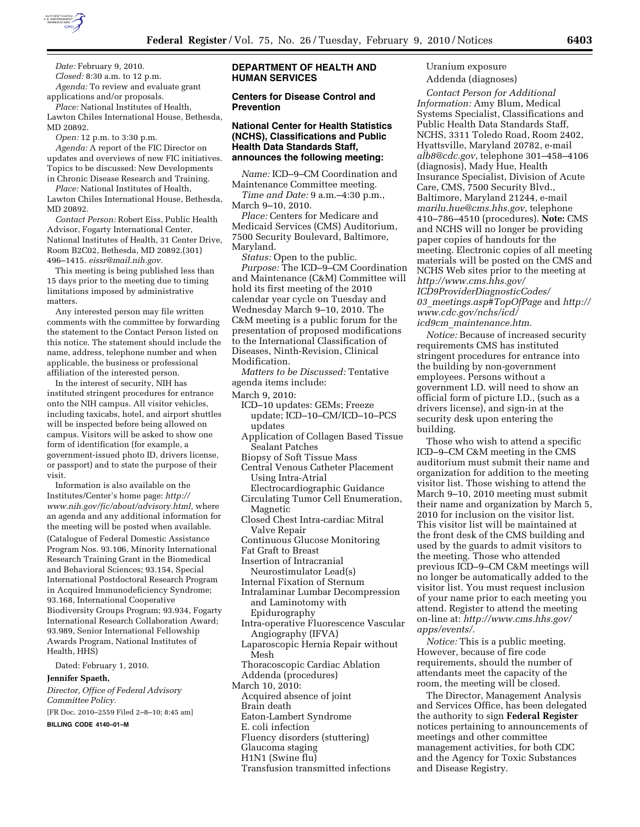

*Date:* February 9, 2010. *Closed:* 8:30 a.m. to 12 p.m. *Agenda:* To review and evaluate grant

applications and/or proposals. *Place:* National Institutes of Health,

Lawton Chiles International House, Bethesda, MD 20892.

*Open:* 12 p.m. to 3:30 p.m.

*Agenda:* A report of the FIC Director on updates and overviews of new FIC initiatives. Topics to be discussed: New Developments in Chronic Disease Research and Training.

*Place:* National Institutes of Health, Lawton Chiles International House, Bethesda, MD 20892.

*Contact Person:* Robert Eiss, Public Health Advisor, Fogarty International Center, National Institutes of Health, 31 Center Drive, Room B2C02, Bethesda, MD 20892.(301) 496–1415. *eissr@mail.nih.gov.* 

This meeting is being published less than 15 days prior to the meeting due to timing limitations imposed by administrative matters.

Any interested person may file written comments with the committee by forwarding the statement to the Contact Person listed on this notice. The statement should include the name, address, telephone number and when applicable, the business or professional affiliation of the interested person.

In the interest of security, NIH has instituted stringent procedures for entrance onto the NIH campus. All visitor vehicles, including taxicabs, hotel, and airport shuttles will be inspected before being allowed on campus. Visitors will be asked to show one form of identification (for example, a government-issued photo ID, drivers license, or passport) and to state the purpose of their visit.

Information is also available on the Institutes/Center's home page: *http:// www.nih.gov/fic/about/advisory.html,* where an agenda and any additional information for the meeting will be posted when available. (Catalogue of Federal Domestic Assistance Program Nos. 93.106, Minority International Research Training Grant in the Biomedical and Behavioral Sciences; 93.154, Special International Postdoctoral Research Program in Acquired Immunodeficiency Syndrome; 93.168, International Cooperative Biodiversity Groups Program; 93.934, Fogarty International Research Collaboration Award; 93.989, Senior International Fellowship Awards Program, National Institutes of Health, HHS)

Dated: February 1, 2010.

### **Jennifer Spaeth,**

*Director, Office of Federal Advisory Committee Policy.* 

[FR Doc. 2010–2559 Filed 2–8–10; 8:45 am]

**BILLING CODE 4140–01–M** 

# **DEPARTMENT OF HEALTH AND HUMAN SERVICES**

## **Centers for Disease Control and Prevention**

### **National Center for Health Statistics (NCHS), Classifications and Public Health Data Standards Staff, announces the following meeting:**

*Name:* ICD–9–CM Coordination and Maintenance Committee meeting. *Time and Date:* 9 a.m.–4:30 p.m.,

March 9–10, 2010.

*Place:* Centers for Medicare and Medicaid Services (CMS) Auditorium, 7500 Security Boulevard, Baltimore, Maryland.

*Status:* Open to the public. *Purpose:* The ICD–9–CM Coordination and Maintenance (C&M) Committee will hold its first meeting of the 2010 calendar year cycle on Tuesday and Wednesday March 9–10, 2010. The C&M meeting is a public forum for the presentation of proposed modifications to the International Classification of Diseases, Ninth-Revision, Clinical Modification.

*Matters to be Discussed:* Tentative agenda items include:

March 9, 2010:

- ICD–10 updates: GEMs; Freeze update; ICD–10–CM/ICD–10–PCS updates
- Application of Collagen Based Tissue Sealant Patches
- Biopsy of Soft Tissue Mass
- Central Venous Catheter Placement Using Intra-Atrial
- Electrocardiographic Guidance Circulating Tumor Cell Enumeration, **Magnetic**
- Closed Chest Intra-cardiac Mitral Valve Repair
- Continuous Glucose Monitoring
- Fat Graft to Breast
- Insertion of Intracranial
- Neurostimulator Lead(s)
- Internal Fixation of Sternum
- Intralaminar Lumbar Decompression and Laminotomy with Epidurography
- Intra-operative Fluorescence Vascular Angiography (IFVA)
- Laparoscopic Hernia Repair without Mesh
- Thoracoscopic Cardiac Ablation Addenda (procedures)
- March 10, 2010:
- Acquired absence of joint
- Brain death
- Eaton-Lambert Syndrome
- E. coli infection
- Fluency disorders (stuttering)
- Glaucoma staging
- H1N1 (Swine flu)
- Transfusion transmitted infections

# Uranium exposure Addenda (diagnoses)

*Contact Person for Additional Information:* Amy Blum, Medical Systems Specialist, Classifications and Public Health Data Standards Staff, NCHS, 3311 Toledo Road, Room 2402, Hyattsville, Maryland 20782, e-mail *alb8@cdc.gov*, telephone 301–458–4106 (diagnosis), Mady Hue, Health Insurance Specialist, Division of Acute Care, CMS, 7500 Security Blvd., Baltimore, Maryland 21244, e-mail *marilu.hue@cms.hhs.gov*, telephone 410–786–4510 (procedures). **Note:** CMS and NCHS will no longer be providing paper copies of handouts for the meeting. Electronic copies of all meeting materials will be posted on the CMS and NCHS Web sites prior to the meeting at *http://www.cms.hhs.gov/ ICD9ProviderDiagnosticCodes/ 03*\_*meetings.asp#TopOfPage* and *http:// www.cdc.gov/nchs/icd/ icd9cm*\_*maintenance.htm.* 

*Notice:* Because of increased security requirements CMS has instituted stringent procedures for entrance into the building by non-government employees. Persons without a government I.D. will need to show an official form of picture I.D., (such as a drivers license), and sign-in at the security desk upon entering the building.

Those who wish to attend a specific ICD–9–CM C&M meeting in the CMS auditorium must submit their name and organization for addition to the meeting visitor list. Those wishing to attend the March 9–10, 2010 meeting must submit their name and organization by March 5, 2010 for inclusion on the visitor list. This visitor list will be maintained at the front desk of the CMS building and used by the guards to admit visitors to the meeting. Those who attended previous ICD–9–CM C&M meetings will no longer be automatically added to the visitor list. You must request inclusion of your name prior to each meeting you attend. Register to attend the meeting on-line at: *http://www.cms.hhs.gov/ apps/events/*.

*Notice:* This is a public meeting. However, because of fire code requirements, should the number of attendants meet the capacity of the room, the meeting will be closed.

The Director, Management Analysis and Services Office, has been delegated the authority to sign **Federal Register**  notices pertaining to announcements of meetings and other committee management activities, for both CDC and the Agency for Toxic Substances and Disease Registry.